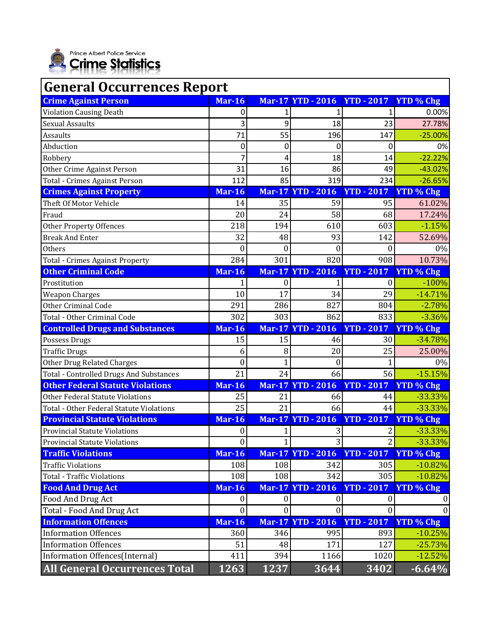

| <b>General Occurrences Report</b>              |                  |               |                          |                   |                  |  |  |  |
|------------------------------------------------|------------------|---------------|--------------------------|-------------------|------------------|--|--|--|
| <b>Crime Against Person</b>                    | <b>Mar-16</b>    |               | <b>Mar-17 YTD - 2016</b> | <b>YTD - 2017</b> | <b>YTD</b> % Chg |  |  |  |
| <b>Violation Causing Death</b>                 | 0                |               |                          |                   | 0.00%            |  |  |  |
| <b>Sexual Assaults</b>                         | 3                | 9             | 18                       | 23                | 27.78%           |  |  |  |
| Assaults                                       | 71               | 55            | 196                      | 147               | $-25.00%$        |  |  |  |
| Abduction                                      | 0                | 0             | 0                        | 0                 | 0%               |  |  |  |
| Robbery                                        | 7                | 4             | 18                       | 14                | $-22.22%$        |  |  |  |
| Other Crime Against Person                     | 31               | 16            | 86                       | 49                | $-43.02%$        |  |  |  |
| Total - Crimes Against Person                  | 112              | 85            | 319                      | 234               | $-26.65%$        |  |  |  |
| <b>Crimes Against Property</b>                 | <b>Mar-16</b>    | <b>Mar-17</b> | <b>YTD</b> - 2016        | <b>YTD - 2017</b> | <b>YTD % Chg</b> |  |  |  |
| Theft Of Motor Vehicle                         | 14               | 35            | 59                       | 95                | 61.02%           |  |  |  |
| Fraud                                          | 20               | 24            | 58                       | 68                | 17.24%           |  |  |  |
| <b>Other Property Offences</b>                 | 218              | 194           | 610                      | 603               | $-1.15%$         |  |  |  |
| <b>Break And Enter</b>                         | 32               | 48            | 93                       | 142               | 52.69%           |  |  |  |
| Others                                         | $\overline{0}$   | $\theta$      | $\boldsymbol{0}$         | $\theta$          | 0%               |  |  |  |
| <b>Total - Crimes Against Property</b>         | 284              | 301           | 820                      | 908               | 10.73%           |  |  |  |
| <b>Other Criminal Code</b>                     | <b>Mar-16</b>    |               | <b>Mar-17 YTD - 2016</b> | $YTD - 2017$      | <b>YTD % Chg</b> |  |  |  |
| Prostitution                                   |                  | 0             | 1                        | $\boldsymbol{0}$  | $-100%$          |  |  |  |
| <b>Weapon Charges</b>                          | 10               | 17            | 34                       | 29                | $-14.71%$        |  |  |  |
| <b>Other Criminal Code</b>                     | 291              | 286           | 827                      | 804               | $-2.78%$         |  |  |  |
| Total - Other Criminal Code                    | 302              | 303           | 862                      | 833               | $-3.36%$         |  |  |  |
| <b>Controlled Drugs and Substances</b>         | <b>Mar-16</b>    |               | <b>Mar-17 YTD - 2016</b> | <b>YTD - 2017</b> | <b>YTD % Chg</b> |  |  |  |
| Possess Drugs                                  | 15               | 15            | 46                       | 30                | $-34.78%$        |  |  |  |
| <b>Traffic Drugs</b>                           | 6                | 8             | 20                       | 25                | 25.00%           |  |  |  |
| <b>Other Drug Related Charges</b>              | $\boldsymbol{0}$ | 1             | $\boldsymbol{0}$         |                   | 0%               |  |  |  |
| <b>Total - Controlled Drugs And Substances</b> | 21               | 24            | 66                       | 56                | $-15.15%$        |  |  |  |
| <b>Other Federal Statute Violations</b>        | <b>Mar-16</b>    | <b>Mar-17</b> | <b>YTD - 2016</b>        | <b>YTD - 2017</b> | <b>YTD % Chg</b> |  |  |  |
| Other Federal Statute Violations               | 25               | 21            | 66                       | 44                | -33.33%          |  |  |  |
| Total - Other Federal Statute Violations       | 25               | 21            | 66                       | 44                | $-33.33%$        |  |  |  |
| <b>Provincial Statute Violations</b>           | <b>Mar-16</b>    |               | <b>Mar-17 YTD - 2016</b> | <b>YTD - 2017</b> | <b>YTD % Chg</b> |  |  |  |
| <b>Provincial Statute Violations</b>           | $\Omega$         | 1             | 3                        | 2                 | $-33.33%$        |  |  |  |
| <b>Provincial Statute Violations</b>           | $\mathbf{0}$     | 1             | 3                        | $\overline{2}$    | -33.33%          |  |  |  |
| <b>Traffic Violations</b>                      | <b>Mar-16</b>    |               | <b>Mar-17 YTD - 2016</b> | <b>YTD - 2017</b> | <b>YTD % Chg</b> |  |  |  |
| <b>Traffic Violations</b>                      | 108              | 108           | 342                      | 305               | $-10.82%$        |  |  |  |
| <b>Total - Traffic Violations</b>              | 108              | 108           | 342                      | 305               | $-10.82%$        |  |  |  |
| <b>Food And Drug Act</b>                       | <b>Mar-16</b>    |               | <b>Mar-17 YTD - 2016</b> | <b>YTD - 2017</b> | YTD % Chg        |  |  |  |
| Food And Drug Act                              | $\boldsymbol{0}$ | $\bf{0}$      | $\bf{0}$                 | $\boldsymbol{0}$  |                  |  |  |  |
| Total - Food And Drug Act                      | $\mathbf{0}$     | $\mathbf{0}$  | $\mathbf{0}$             | $\theta$          | $\theta$         |  |  |  |
| <b>Information Offences</b>                    | <b>Mar-16</b>    | <b>Mar-17</b> | <b>YTD - 2016</b>        | <b>YTD - 2017</b> | <b>YTD % Chg</b> |  |  |  |
| <b>Information Offences</b>                    | 360              | 346           | 995                      | 893               | $-10.25%$        |  |  |  |
| <b>Information Offences</b>                    | 51               | 48            | 171                      | 127               | $-25.73%$        |  |  |  |
| Information Offences(Internal)                 | 411              | 394           | 1166                     | 1020              | $-12.52%$        |  |  |  |
| <b>All General Occurrences Total</b>           | 1263             | 1237          | 3644                     | 3402              | $-6.64%$         |  |  |  |